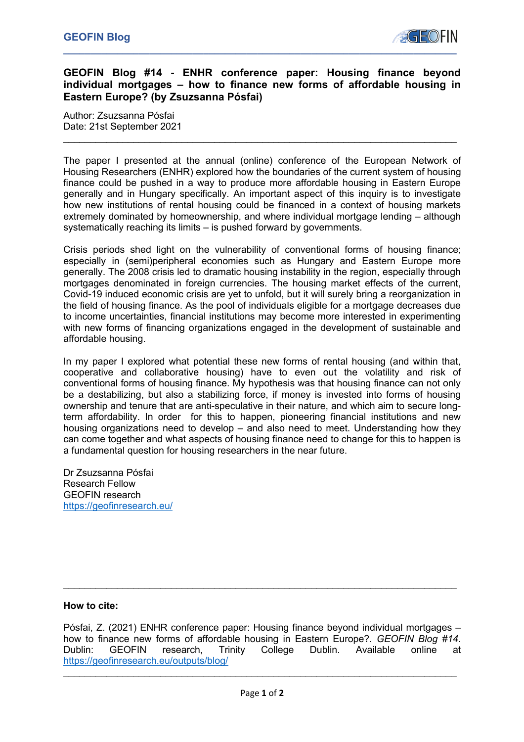

## **GEOFIN Blog #14 - ENHR conference paper: Housing finance beyond individual mortgages – how to finance new forms of affordable housing in Eastern Europe? (by Zsuzsanna Pósfai)**

 $\mathcal{L}_\text{max} = \mathcal{L}_\text{max} = \mathcal{L}_\text{max} = \mathcal{L}_\text{max} = \mathcal{L}_\text{max} = \mathcal{L}_\text{max} = \mathcal{L}_\text{max} = \mathcal{L}_\text{max} = \mathcal{L}_\text{max} = \mathcal{L}_\text{max} = \mathcal{L}_\text{max} = \mathcal{L}_\text{max} = \mathcal{L}_\text{max} = \mathcal{L}_\text{max} = \mathcal{L}_\text{max} = \mathcal{L}_\text{max} = \mathcal{L}_\text{max} = \mathcal{L}_\text{max} = \mathcal{$ 

Author: Zsuzsanna Pósfai Date: 21st September 2021

The paper I presented at the annual (online) conference of the European Network of Housing Researchers (ENHR) explored how the boundaries of the current system of housing finance could be pushed in a way to produce more affordable housing in Eastern Europe generally and in Hungary specifically. An important aspect of this inquiry is to investigate how new institutions of rental housing could be financed in a context of housing markets extremely dominated by homeownership, and where individual mortgage lending – although systematically reaching its limits – is pushed forward by governments.

Crisis periods shed light on the vulnerability of conventional forms of housing finance; especially in (semi)peripheral economies such as Hungary and Eastern Europe more generally. The 2008 crisis led to dramatic housing instability in the region, especially through mortgages denominated in foreign currencies. The housing market effects of the current, Covid-19 induced economic crisis are yet to unfold, but it will surely bring a reorganization in the field of housing finance. As the pool of individuals eligible for a mortgage decreases due to income uncertainties, financial institutions may become more interested in experimenting with new forms of financing organizations engaged in the development of sustainable and affordable housing.

In my paper I explored what potential these new forms of rental housing (and within that, cooperative and collaborative housing) have to even out the volatility and risk of conventional forms of housing finance. My hypothesis was that housing finance can not only be a destabilizing, but also a stabilizing force, if money is invested into forms of housing ownership and tenure that are anti-speculative in their nature, and which aim to secure longterm affordability. In order for this to happen, pioneering financial institutions and new housing organizations need to develop – and also need to meet. Understanding how they can come together and what aspects of housing finance need to change for this to happen is a fundamental question for housing researchers in the near future.

Dr Zsuzsanna Pósfai Research Fellow GEOFIN research https://geofinresearch.eu/

## **How to cite:**

Pósfai, Z. (2021) ENHR conference paper: Housing finance beyond individual mortgages – how to finance new forms of affordable housing in Eastern Europe?. *GEOFIN Blog #14*. Dublin: GEOFIN research, Trinity College Dublin. Available online at https://geofinresearch.eu/outputs/blog/

 $\mathcal{L}_\mathcal{L} = \mathcal{L}_\mathcal{L} = \mathcal{L}_\mathcal{L} = \mathcal{L}_\mathcal{L} = \mathcal{L}_\mathcal{L} = \mathcal{L}_\mathcal{L} = \mathcal{L}_\mathcal{L} = \mathcal{L}_\mathcal{L} = \mathcal{L}_\mathcal{L} = \mathcal{L}_\mathcal{L} = \mathcal{L}_\mathcal{L} = \mathcal{L}_\mathcal{L} = \mathcal{L}_\mathcal{L} = \mathcal{L}_\mathcal{L} = \mathcal{L}_\mathcal{L} = \mathcal{L}_\mathcal{L} = \mathcal{L}_\mathcal{L}$ 

 $\mathcal{L}_\text{max} = \mathcal{L}_\text{max} = \mathcal{L}_\text{max} = \mathcal{L}_\text{max} = \mathcal{L}_\text{max} = \mathcal{L}_\text{max} = \mathcal{L}_\text{max} = \mathcal{L}_\text{max} = \mathcal{L}_\text{max} = \mathcal{L}_\text{max} = \mathcal{L}_\text{max} = \mathcal{L}_\text{max} = \mathcal{L}_\text{max} = \mathcal{L}_\text{max} = \mathcal{L}_\text{max} = \mathcal{L}_\text{max} = \mathcal{L}_\text{max} = \mathcal{L}_\text{max} = \mathcal{$